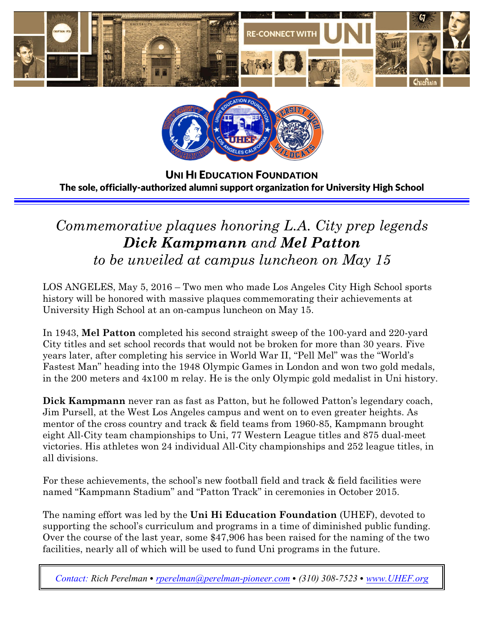



U**NI** H**I** E**DUCATION** F**OUNDATION** The sole, officially-authorized alumni support organization for University High School

# *Commemorative plaques honoring L.A. City prep legends Dick Kampmann and Mel Patton to be unveiled at campus luncheon on May 15*

LOS ANGELES, May 5, 2016 – Two men who made Los Angeles City High School sports history will be honored with massive plaques commemorating their achievements at University High School at an on-campus luncheon on May 15.

In 1943, **Mel Patton** completed his second straight sweep of the 100-yard and 220-yard City titles and set school records that would not be broken for more than 30 years. Five years later, after completing his service in World War II, "Pell Mel" was the "World's Fastest Man" heading into the 1948 Olympic Games in London and won two gold medals, in the 200 meters and 4x100 m relay. He is the only Olympic gold medalist in Uni history.

**Dick Kampmann** never ran as fast as Patton, but he followed Patton's legendary coach, Jim Pursell, at the West Los Angeles campus and went on to even greater heights. As mentor of the cross country and track & field teams from 1960-85, Kampmann brought eight All-City team championships to Uni, 77 Western League titles and 875 dual-meet victories. His athletes won 24 individual All-City championships and 252 league titles, in all divisions.

For these achievements, the school's new football field and track & field facilities were named "Kampmann Stadium" and "Patton Track" in ceremonies in October 2015.

The naming effort was led by the **Uni Hi Education Foundation** (UHEF), devoted to supporting the school's curriculum and programs in a time of diminished public funding. Over the course of the last year, some \$47,906 has been raised for the naming of the two facilities, nearly all of which will be used to fund Uni programs in the future.

*Contact: Rich Perelman* ∙ *[rperelman@perelman-pioneer.com](mailto:rperelman@perelman-pioneer.com)* ∙ *(310) 308-7523* ∙ *[www.UHEF.org](http://www.UHEF.org)*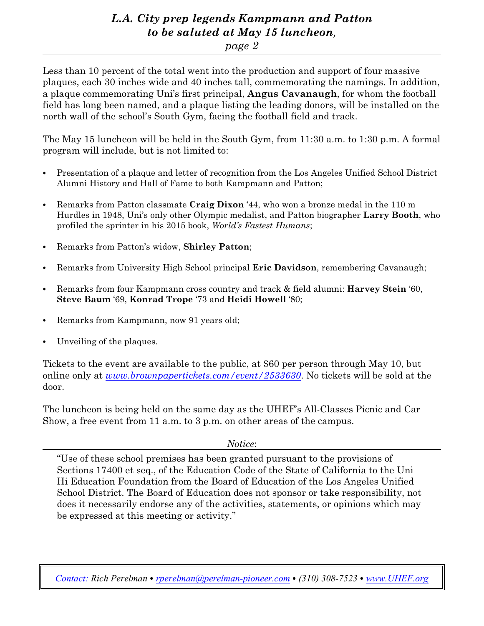### *L.A. City prep legends Kampmann and Patton to be saluted at May 15 luncheon,*

#### *page 2*

Less than 10 percent of the total went into the production and support of four massive plaques, each 30 inches wide and 40 inches tall, commemorating the namings. In addition, a plaque commemorating Uni's first principal, **Angus Cavanaugh**, for whom the football field has long been named, and a plaque listing the leading donors, will be installed on the north wall of the school's South Gym, facing the football field and track.

The May 15 luncheon will be held in the South Gym, from 11:30 a.m. to 1:30 p.m. A formal program will include, but is not limited to:

- ∙ Presentation of a plaque and letter of recognition from the Los Angeles Unified School District Alumni History and Hall of Fame to both Kampmann and Patton;
- ∙ Remarks from Patton classmate **Craig Dixon** '44, who won a bronze medal in the 110 m Hurdles in 1948, Uni's only other Olympic medalist, and Patton biographer **Larry Booth**, who profiled the sprinter in his 2015 book, *World's Fastest Humans*;
- ∙ Remarks from Patton's widow, **Shirley Patton**;
- ∙ Remarks from University High School principal **Eric Davidson**, remembering Cavanaugh;
- ∙ Remarks from four Kampmann cross country and track & field alumni: **Harvey Stein** '60, **Steve Baum** '69, **Konrad Trope** '73 and **Heidi Howell** '80;
- ∙ Remarks from Kampmann, now 91 years old;
- ∙ Unveiling of the plaques.

Tickets to the event are available to the public, at \$60 per person through May 10, but online only at *[www.brownpapertickets.com/event/2533630](http://www.brownpapertickets.com/event/2533630)*. No tickets will be sold at the door.

The luncheon is being held on the same day as the UHEF's All-Classes Picnic and Car Show, a free event from 11 a.m. to 3 p.m. on other areas of the campus.

*Notice*:

"Use of these school premises has been granted pursuant to the provisions of Sections 17400 et seq., of the Education Code of the State of California to the Uni Hi Education Foundation from the Board of Education of the Los Angeles Unified School District. The Board of Education does not sponsor or take responsibility, not does it necessarily endorse any of the activities, statements, or opinions which may be expressed at this meeting or activity."

*Contact: Rich Perelman* ∙ *[rperelman@perelman-pioneer.com](mailto:rperelman@perelman-pioneer.com)* ∙ *(310) 308-7523* ∙ *[www.UHEF.org](http://www.UHEF.org)*